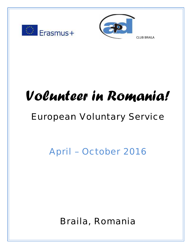



CLUB BRAILA

# Volunteer in Romania!

# European Voluntary Service |

April – October 2016

Braila, Romania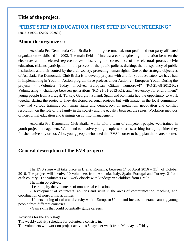#### **Title of the project:**

#### **"FIRST STEP IN EDUCATION, FIRST STEP IN VOLUNTEERING"** (2015-3-RO01-KA105- 022897)

#### **About the organizers:**

Asociatia Pro Democratia Club Braila is a non-governmental, non-profit and non-party affiliated organization established in 2002. The main fields of interest are: strengthening the relation between the electorate and its elected representatives, observing the correctness of the electoral process, civic education; citizens' participation in the process of the public policies drafting, the transparency of public institutions and their control by the civil society; protecting human rights. One of the strategic objectives of Asociatia Pro Democratia Club Braila is to develop projects with and for youth. So lately we have had in implementing in Youth in Action program three projects under Action 2 - European Youth. During the projects - "Volunteer Today, Involved European Citizen Tomorrow!" (RO-21-68-2012-R2) Volunteering - challenge between generations (RO-21-61-2013-R1), and "Advocacy for environment" young people from Portugal, Turkey, Georgia , Poland, Spain and Romania had the opportunity to work together during the projects. They developed personal projects but with impact in the local community they had various trainings on human rights and democracy, on mediation, negotiation and conflict resolution, on the role of the family in the society and the equality between the sexes, Workshop methods of non-formal education and trainings on conflict management.

Asociatia Pro Democratia Club Braila, works with a team of competent people, well-trained in youth project management. We intend to involve young people who are searching for a job, either they finished university or not. Also, young people who need this EVS in order to help plan their career better.

#### **General description of the EVS project:**

The EVS stage will take place in Braila, Romania, between  $1<sup>st</sup>$  of April 2016 –  $31<sup>st</sup>$  of October 2016. The project will involve 10 volunteers from Armenia, Italy, Spain, Portugal and Turkey, 2 from each country. The volunteers will work closely with kindergarten children from Braila.

The main objectives:

- Learning by the volunteers of non-formal education

- Development of volunteers' abilities and skills in the areas of communication, teaching, and coordination of non-formal activities

- Understanding of cultural diversity within European Union and increase tolerance among young people from different countries

- Gain skills that could potentially guide careers.

Activities for the EVS stage:

The weekly activity schedule for volunteers consists in:

The volunteers will work on project activities 5 days per week from Monday to Friday.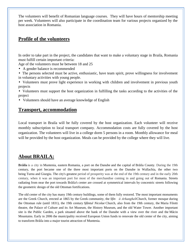The volunteers will benefit of Romanian language courses. They will have hours of mentorship meeting per week. Volunteers will also participate in the coordination team for various projects organized by the host association in Romania.

#### **Profile of the volunteers**

In order to take part in the project, the candidates that want to make a voluntary stage in Braila, Romania must fulfill certain important criteria:

Age of the volunteers must be between 18 and 25

- A gender balance is recommended
- The persons selected must be active, enthusiastic, have team spirit, prove willingness for involvement in voluntary activities with young people.
- Volunteers must prove light experience in working with children and involvement in previous youth projects
- Volunteers must support the host organization in fulfilling the tasks according to the activities of the project
- Volunteers should have an average knowledge of English

#### **Transport, accommodation**

Local transport in Braila will be fully covered by the host organization. Each volunteer will receive monthly subscription to local transport company. Accommodation costs are fully covered by the host organization. The volunteers will live in a college dorm 5 persons in a room. Monthly allowance for meal will be provided by the host organization. Meals can be provided by the college where they will live.

### **About BRAILA:**

**Br ila** is a city in Muntenia, eastern Romania, a port on the Danube and the capital of Br ila County. During the 19th century, the port became one of the three most important ports on the Danube in Wallachia, the other two being Turnu and Giurgiu. The city's greatest period of prosperity was at the end of the 19th century and in the early 20th century, when it was an important port for most of the merchandise coming in and going out of Romania. Streets radiating from near the port towards Br ila's center are crossed at symmetrical intervals by concentric streets following the geometric design of the old Ottoman fortifications.

The old center of the city has many 19th century buildings, some of them fully restored. The most important monuments are the Greek Church, erected at 1865 by the Greek community, the *Sfinții Arhangheli*Church, former mosque during the Ottoman rule (until 1831), the 19th century *Sfântul Nicolae* Church, also from the 19th century, the Maria Filotti theatre, the Palace of Culture and its Art Museum, the History Museum, and the old Water Tower. Another important site is the Public Garden, a park situated above the bank of the Danube with a view over the river and the M cin Mountains. Early in 2006 the municipality received European Union funds to renovate the old center of the city, aiming to transform Braila into a major tourist attraction of Muntenia.